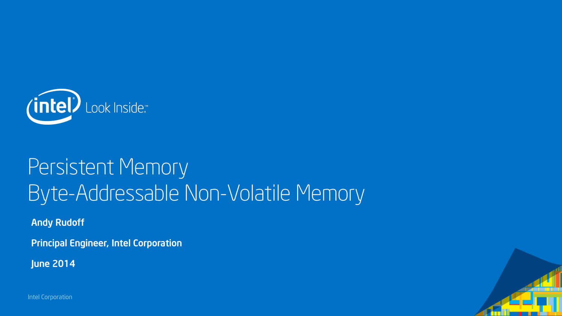

## Persistent Memory Byte-Addressable Non-Volatile Memory

Andy Rudoff

Principal Engineer, Intel Corporation

June 2014

Intel Corporation

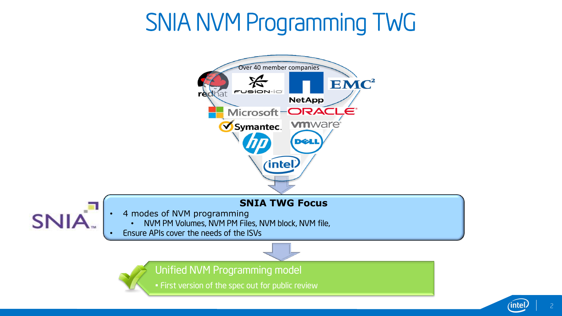# SNIA NVM Programming TWG



2

ïnte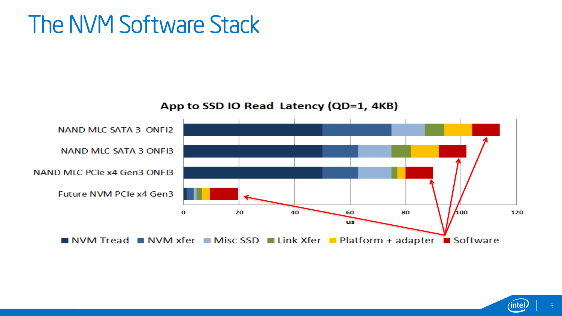### The NVM Software Stack

App to SSD IO Read Latency (QD=1, 4KB)



3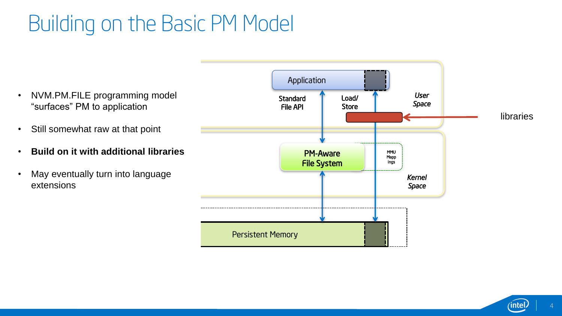### Building on the Basic PM Model

• NVM.PM.FILE programming model "surfaces" PM to application

- Still somewhat raw at that point
- **Build on it with additional libraries**
- May eventually turn into language extensions



4

ïnte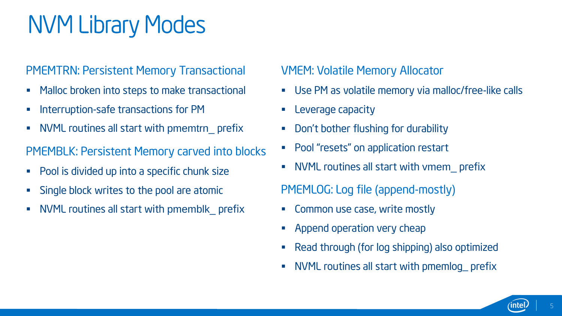## NVM Library Modes

#### PMEMTRN: Persistent Memory Transactional

- **Malloc broken into steps to make transactional**
- **Interruption-safe transactions for PM**
- NVML routines all start with pmemtrn\_ prefix

#### PMEMBLK: Persistent Memory carved into blocks

- Pool is divided up into a specific chunk size
- **Single block writes to the pool are atomic**
- NVML routines all start with pmemblk\_ prefix

### VMEM: Volatile Memory Allocator

- Use PM as volatile memory via malloc/free-like calls
- **Leverage capacity**
- **•** Don't bother flushing for durability
- **Pool "resets" on application restart**
- NVML routines all start with vmem\_ prefix

PMEMLOG: Log file (append-mostly)

- **EXECOMMON USE CASE, write mostly**
- **Append operation very cheap**
- Read through (for log shipping) also optimized
- NVML routines all start with pmemlog\_ prefix

5